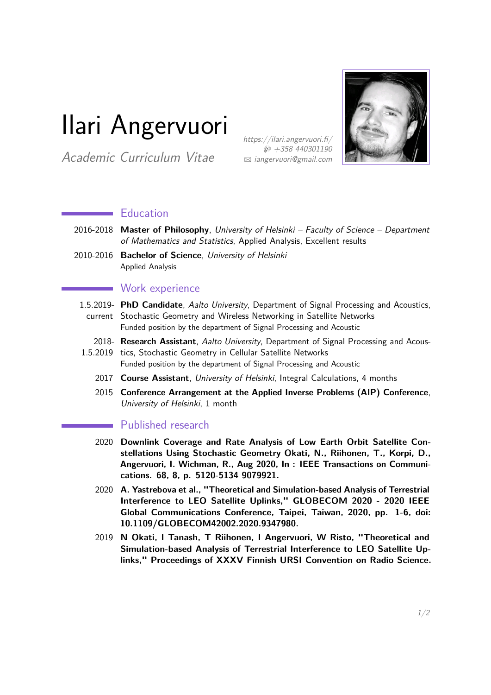# Ilari Angervuori

Academic Curriculum Vitae

https://ilari.angervuori.fi/  $$+358,440301190$ B [iangervuori@gmail.com](mailto:iangervuori@gmail.com)



## **Education**

- 2016-2018 **Master of Philosophy**, University of Helsinki Faculty of Science Department of Mathematics and Statistics, Applied Analysis, Excellent results
- 2010-2016 **Bachelor of Science**, University of Helsinki Applied Analysis

### **Work experience**

- 1.5.2019- **PhD Candidate**, Aalto University, Department of Signal Processing and Acoustics, current Stochastic Geometry and Wireless Networking in Satellite Networks Funded position by the department of Signal Processing and Acoustic
	- 2018- **Research Assistant**, Aalto University, Department of Signal Processing and Acous-
- 1.5.2019 tics, Stochastic Geometry in Cellular Satellite Networks Funded position by the department of Signal Processing and Acoustic
	- 2017 **Course Assistant**, University of Helsinki, Integral Calculations, 4 months
	- 2015 **Conference Arrangement at the Applied Inverse Problems (AIP) Conference**, University of Helsinki, 1 month

#### **Published research**

- 2020 **Downlink Coverage and Rate Analysis of Low Earth Orbit Satellite Constellations Using Stochastic Geometry Okati, N., Riihonen, T., Korpi, D., Angervuori, I. Wichman, R., Aug 2020, In : IEEE Transactions on Communications. 68, 8, p. 5120-5134 9079921.**
- 2020 **A. Yastrebova et al., "Theoretical and Simulation-based Analysis of Terrestrial Interference to LEO Satellite Uplinks," GLOBECOM 2020 - 2020 IEEE Global Communications Conference, Taipei, Taiwan, 2020, pp. 1-6, doi: 10.1109/GLOBECOM42002.2020.9347980.**
- 2019 **N Okati, I Tanash, T Riihonen, I Angervuori, W Risto, "Theoretical and Simulation-based Analysis of Terrestrial Interference to LEO Satellite Uplinks," Proceedings of XXXV Finnish URSI Convention on Radio Science.**